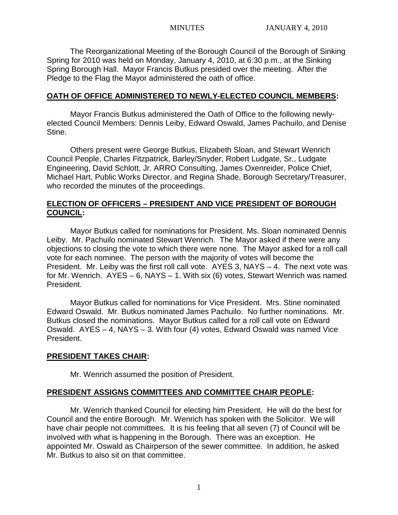The Reorganizational Meeting of the Borough Council of the Borough of Sinking Spring for 2010 was held on Monday, January 4, 2010, at 6:30 p.m., at the Sinking Spring Borough Hall. Mayor Francis Butkus presided over the meeting. After the Pledge to the Flag the Mayor administered the oath of office.

#### **OATH OF OFFICE ADMINISTERED TO NEWLY-ELECTED COUNCIL MEMBERS:**

Mayor Francis Butkus administered the Oath of Office to the following newlyelected Council Members: Dennis Leiby, Edward Oswald, James Pachuilo, and Denise Stine.

Others present were George Butkus, Elizabeth Sloan, and Stewart Wenrich Council People, Charles Fitzpatrick, Barley/Snyder, Robert Ludgate, Sr., Ludgate Engineering, David Schlott, Jr. ARRO Consulting, James Oxenreider, Police Chief, Michael Hart, Public Works Director, and Regina Shade, Borough Secretary/Treasurer, who recorded the minutes of the proceedings.

## **ELECTION OF OFFICERS – PRESIDENT AND VICE PRESIDENT OF BOROUGH COUNCIL:**

Mayor Butkus called for nominations for President. Ms. Sloan nominated Dennis Leiby. Mr. Pachuilo nominated Stewart Wenrich. The Mayor asked if there were any objections to closing the vote to which there were none. The Mayor asked for a roll call vote for each nominee. The person with the majority of votes will become the President. Mr. Leiby was the first roll call vote. AYES 3, NAYS  $-4$ . The next vote was for Mr. Wenrich. AYES – 6, NAYS – 1. With six (6) votes, Stewart Wenrich was named President.

Mayor Butkus called for nominations for Vice President. Mrs. Stine nominated Edward Oswald. Mr. Butkus nominated James Pachuilo. No further nominations. Mr. Butkus closed the nominations. Mayor Butkus called for a roll call vote on Edward Oswald. AYES – 4, NAYS – 3. With four (4) votes, Edward Oswald was named Vice President.

## **PRESIDENT TAKES CHAIR:**

Mr. Wenrich assumed the position of President.

## **PRESIDENT ASSIGNS COMMITTEES AND COMMITTEE CHAIR PEOPLE:**

Mr. Wenrich thanked Council for electing him President. He will do the best for Council and the entire Borough. Mr. Wenrich has spoken with the Solicitor. We will have chair people not committees. It is his feeling that all seven (7) of Council will be involved with what is happening in the Borough. There was an exception. He appointed Mr. Oswald as Chairperson of the sewer committee. In addition, he asked Mr. Butkus to also sit on that committee.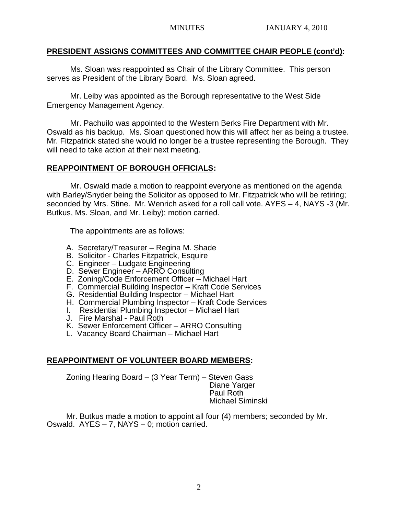#### **PRESIDENT ASSIGNS COMMITTEES AND COMMITTEE CHAIR PEOPLE (cont'd):**

Ms. Sloan was reappointed as Chair of the Library Committee. This person serves as President of the Library Board. Ms. Sloan agreed.

Mr. Leiby was appointed as the Borough representative to the West Side Emergency Management Agency.

Mr. Pachuilo was appointed to the Western Berks Fire Department with Mr. Oswald as his backup. Ms. Sloan questioned how this will affect her as being a trustee. Mr. Fitzpatrick stated she would no longer be a trustee representing the Borough. They will need to take action at their next meeting.

## **REAPPOINTMENT OF BOROUGH OFFICIALS:**

Mr. Oswald made a motion to reappoint everyone as mentioned on the agenda with Barley/Snyder being the Solicitor as opposed to Mr. Fitzpatrick who will be retiring; seconded by Mrs. Stine. Mr. Wenrich asked for a roll call vote. AYES – 4, NAYS -3 (Mr. Butkus, Ms. Sloan, and Mr. Leiby); motion carried.

The appointments are as follows:

- A. Secretary/Treasurer Regina M. Shade
- B. Solicitor Charles Fitzpatrick, Esquire
- C. Engineer Ludgate Engineering
- D. Sewer Engineer ARRO Consulting
- E. Zoning/Code Enforcement Officer Michael Hart
- F. Commercial Building Inspector Kraft Code Services
- G. Residential Building Inspector Michael Hart
- H. Commercial Plumbing Inspector Kraft Code Services
- I. Residential Plumbing Inspector Michael Hart
- J. Fire Marshal Paul Roth
- K. Sewer Enforcement Officer ARRO Consulting
- L. Vacancy Board Chairman Michael Hart

## **REAPPOINTMENT OF VOLUNTEER BOARD MEMBERS:**

Zoning Hearing Board – (3 Year Term) – Steven Gass Diane Yarger Paul Roth Michael Siminski

Mr. Butkus made a motion to appoint all four (4) members; seconded by Mr. Oswald. AYES – 7, NAYS – 0; motion carried.